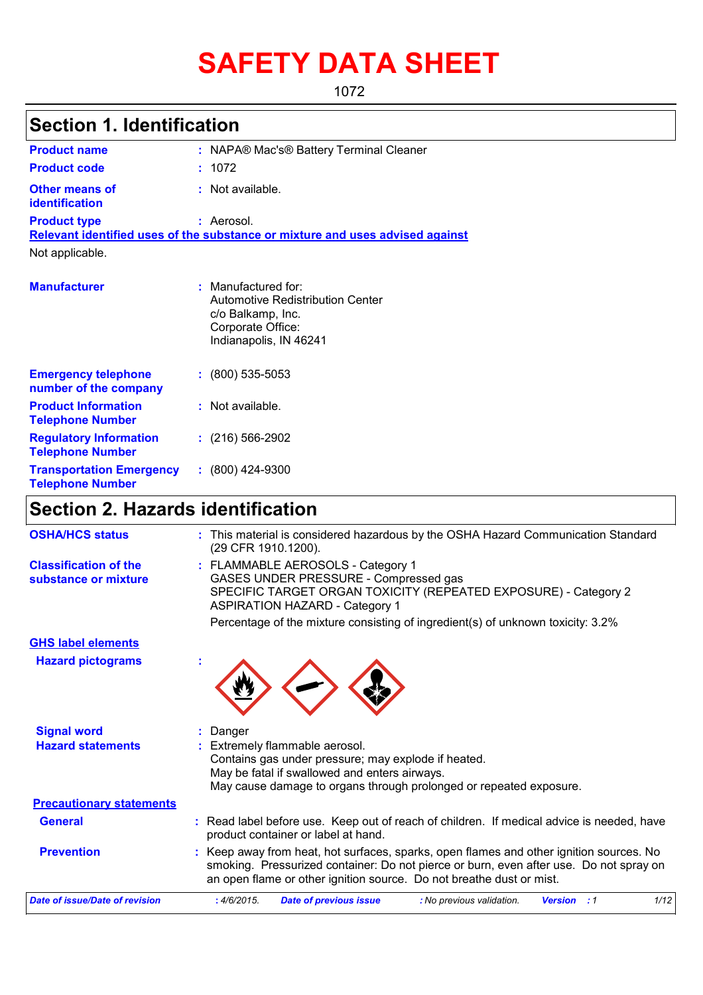# **SAFETY DATA SHEET**

1072

| <b>Section 1. Identification</b>                           |                                                                                                                               |
|------------------------------------------------------------|-------------------------------------------------------------------------------------------------------------------------------|
| <b>Product name</b>                                        | : NAPA® Mac's® Battery Terminal Cleaner                                                                                       |
| <b>Product code</b>                                        | : 1072                                                                                                                        |
| <b>Other means of</b><br>identification                    | : Not available.                                                                                                              |
| <b>Product type</b>                                        | : Aerosol.<br>Relevant identified uses of the substance or mixture and uses advised against                                   |
| Not applicable.                                            |                                                                                                                               |
| <b>Manufacturer</b>                                        | $:$ Manufactured for:<br>Automotive Redistribution Center<br>c/o Balkamp, Inc.<br>Corporate Office:<br>Indianapolis, IN 46241 |
| <b>Emergency telephone</b><br>number of the company        | $: (800) 535 - 5053$                                                                                                          |
| <b>Product Information</b><br><b>Telephone Number</b>      | : Not available.                                                                                                              |
| <b>Regulatory Information</b><br><b>Telephone Number</b>   | $: (216) 566-2902$                                                                                                            |
| <b>Transportation Emergency</b><br><b>Telephone Number</b> | $: (800)$ 424-9300                                                                                                            |

### **Section 2. Hazards identification**

| <b>OSHA/HCS status</b>                               | : This material is considered hazardous by the OSHA Hazard Communication Standard<br>(29 CFR 1910.1200).                                                                                                                                                  |
|------------------------------------------------------|-----------------------------------------------------------------------------------------------------------------------------------------------------------------------------------------------------------------------------------------------------------|
| <b>Classification of the</b><br>substance or mixture | : FLAMMABLE AEROSOLS - Category 1<br>GASES UNDER PRESSURE - Compressed gas<br>SPECIFIC TARGET ORGAN TOXICITY (REPEATED EXPOSURE) - Category 2<br><b>ASPIRATION HAZARD - Category 1</b>                                                                    |
|                                                      | Percentage of the mixture consisting of ingredient(s) of unknown toxicity: 3.2%                                                                                                                                                                           |
| <b>GHS label elements</b>                            |                                                                                                                                                                                                                                                           |
| <b>Hazard pictograms</b>                             |                                                                                                                                                                                                                                                           |
| <b>Signal word</b>                                   | Danger                                                                                                                                                                                                                                                    |
| <b>Hazard statements</b>                             | Extremely flammable aerosol.<br>Contains gas under pressure; may explode if heated.<br>May be fatal if swallowed and enters airways.<br>May cause damage to organs through prolonged or repeated exposure.                                                |
| <b>Precautionary statements</b>                      |                                                                                                                                                                                                                                                           |
| <b>General</b>                                       | : Read label before use. Keep out of reach of children. If medical advice is needed, have<br>product container or label at hand.                                                                                                                          |
| <b>Prevention</b>                                    | : Keep away from heat, hot surfaces, sparks, open flames and other ignition sources. No<br>smoking. Pressurized container: Do not pierce or burn, even after use. Do not spray on<br>an open flame or other ignition source. Do not breathe dust or mist. |
| <b>Date of issue/Date of revision</b>                | 1/12<br>: 4/6/2015.<br><b>Date of previous issue</b><br>: No previous validation.<br><b>Version</b> : 1                                                                                                                                                   |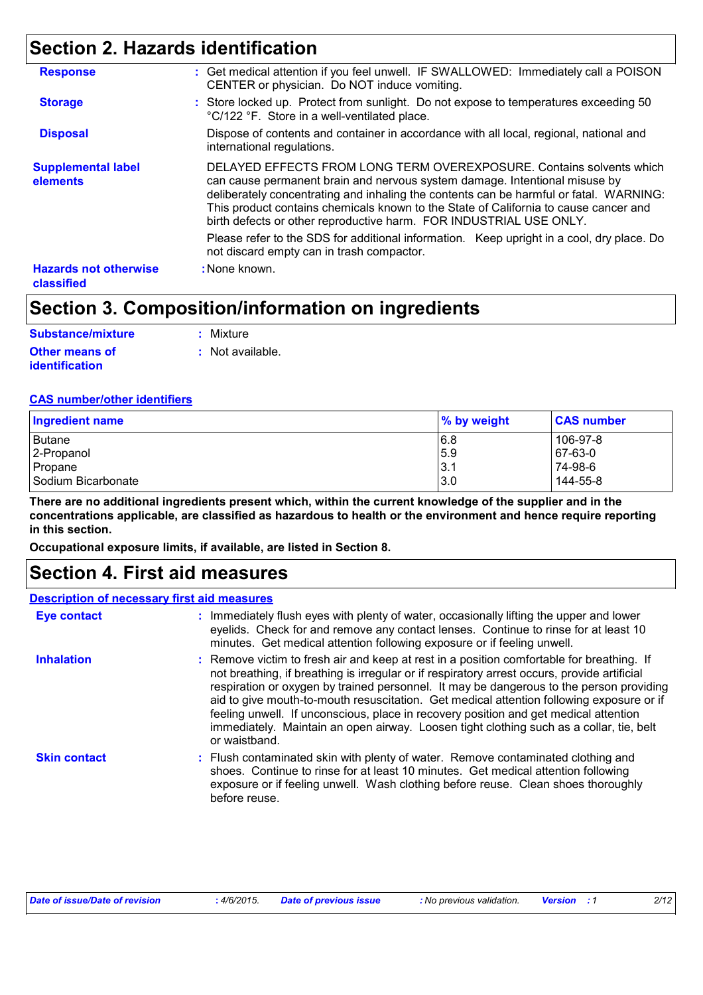## **Section 2. Hazards identification**

| <b>Response</b>                            | : Get medical attention if you feel unwell. IF SWALLOWED: Immediately call a POISON<br>CENTER or physician. Do NOT induce vomiting.                                                                                                                                                                                                                                                                        |
|--------------------------------------------|------------------------------------------------------------------------------------------------------------------------------------------------------------------------------------------------------------------------------------------------------------------------------------------------------------------------------------------------------------------------------------------------------------|
| <b>Storage</b>                             | : Store locked up. Protect from sunlight. Do not expose to temperatures exceeding 50<br>°C/122 °F. Store in a well-ventilated place.                                                                                                                                                                                                                                                                       |
| <b>Disposal</b>                            | Dispose of contents and container in accordance with all local, regional, national and<br>international regulations.                                                                                                                                                                                                                                                                                       |
| <b>Supplemental label</b><br>elements      | DELAYED EFFECTS FROM LONG TERM OVEREXPOSURE. Contains solvents which<br>can cause permanent brain and nervous system damage. Intentional misuse by<br>deliberately concentrating and inhaling the contents can be harmful or fatal. WARNING:<br>This product contains chemicals known to the State of California to cause cancer and<br>birth defects or other reproductive harm. FOR INDUSTRIAL USE ONLY. |
|                                            | Please refer to the SDS for additional information. Keep upright in a cool, dry place. Do<br>not discard empty can in trash compactor.                                                                                                                                                                                                                                                                     |
| <b>Hazards not otherwise</b><br>classified | : None known.                                                                                                                                                                                                                                                                                                                                                                                              |

## **Section 3. Composition/information on ingredients**

| Substance/mixture     | : Mixture          |
|-----------------------|--------------------|
| Other means of        | $:$ Not available. |
| <b>identification</b> |                    |

#### **CAS number/other identifiers**

| <b>Ingredient name</b> | % by weight | <b>CAS number</b> |
|------------------------|-------------|-------------------|
| Butane                 | 6.8         | 106-97-8          |
| 2-Propanol             | 5.9         | 67-63-0           |
| Propane                | 3.1         | 74-98-6           |
| Sodium Bicarbonate     | 3.0         | 144-55-8          |

**There are no additional ingredients present which, within the current knowledge of the supplier and in the concentrations applicable, are classified as hazardous to health or the environment and hence require reporting in this section.**

**Occupational exposure limits, if available, are listed in Section 8.**

### **Section 4. First aid measures**

| <b>Description of necessary first aid measures</b> |                                                                                                                                                                                                                                                                                                                                                                                                                                                                                                                                                                                      |
|----------------------------------------------------|--------------------------------------------------------------------------------------------------------------------------------------------------------------------------------------------------------------------------------------------------------------------------------------------------------------------------------------------------------------------------------------------------------------------------------------------------------------------------------------------------------------------------------------------------------------------------------------|
| <b>Eye contact</b>                                 | : Immediately flush eyes with plenty of water, occasionally lifting the upper and lower<br>eyelids. Check for and remove any contact lenses. Continue to rinse for at least 10<br>minutes. Get medical attention following exposure or if feeling unwell.                                                                                                                                                                                                                                                                                                                            |
| <b>Inhalation</b>                                  | : Remove victim to fresh air and keep at rest in a position comfortable for breathing. If<br>not breathing, if breathing is irregular or if respiratory arrest occurs, provide artificial<br>respiration or oxygen by trained personnel. It may be dangerous to the person providing<br>aid to give mouth-to-mouth resuscitation. Get medical attention following exposure or if<br>feeling unwell. If unconscious, place in recovery position and get medical attention<br>immediately. Maintain an open airway. Loosen tight clothing such as a collar, tie, belt<br>or waistband. |
| <b>Skin contact</b>                                | : Flush contaminated skin with plenty of water. Remove contaminated clothing and<br>shoes. Continue to rinse for at least 10 minutes. Get medical attention following<br>exposure or if feeling unwell. Wash clothing before reuse. Clean shoes thoroughly<br>before reuse.                                                                                                                                                                                                                                                                                                          |

| Date of issue/Date of revision | 4/6/2015. | <b>Date of previous issue</b> | : No previous validation. | <b>Version</b> : 1 | 2/12 |
|--------------------------------|-----------|-------------------------------|---------------------------|--------------------|------|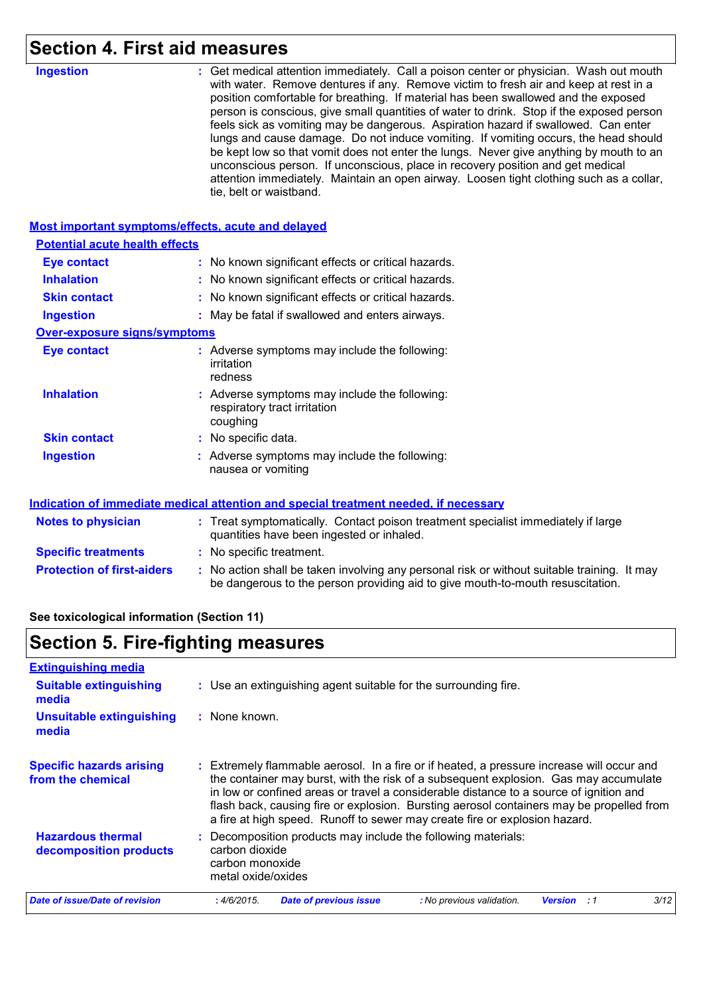# **Section 4. First aid measures**

| <b>Ingestion</b>                                   | : Get medical attention immediately. Call a poison center or physician. Wash out mouth<br>with water. Remove dentures if any. Remove victim to fresh air and keep at rest in a<br>position comfortable for breathing. If material has been swallowed and the exposed<br>person is conscious, give small quantities of water to drink. Stop if the exposed person<br>feels sick as vomiting may be dangerous. Aspiration hazard if swallowed. Can enter<br>lungs and cause damage. Do not induce vomiting. If vomiting occurs, the head should<br>be kept low so that vomit does not enter the lungs. Never give anything by mouth to an<br>unconscious person. If unconscious, place in recovery position and get medical<br>attention immediately. Maintain an open airway. Loosen tight clothing such as a collar,<br>tie, belt or waistband. |
|----------------------------------------------------|-------------------------------------------------------------------------------------------------------------------------------------------------------------------------------------------------------------------------------------------------------------------------------------------------------------------------------------------------------------------------------------------------------------------------------------------------------------------------------------------------------------------------------------------------------------------------------------------------------------------------------------------------------------------------------------------------------------------------------------------------------------------------------------------------------------------------------------------------|
| Most important symptoms/effects, acute and delayed |                                                                                                                                                                                                                                                                                                                                                                                                                                                                                                                                                                                                                                                                                                                                                                                                                                                 |
| <b>Potential acute health effects</b>              |                                                                                                                                                                                                                                                                                                                                                                                                                                                                                                                                                                                                                                                                                                                                                                                                                                                 |
| <b>Eye contact</b>                                 | : No known significant effects or critical hazards.                                                                                                                                                                                                                                                                                                                                                                                                                                                                                                                                                                                                                                                                                                                                                                                             |
| <b>Inhalation</b>                                  | : No known significant effects or critical hazards.                                                                                                                                                                                                                                                                                                                                                                                                                                                                                                                                                                                                                                                                                                                                                                                             |
| <b>Skin contact</b>                                | : No known significant effects or critical hazards.                                                                                                                                                                                                                                                                                                                                                                                                                                                                                                                                                                                                                                                                                                                                                                                             |
| <b>Ingestion</b>                                   | : May be fatal if swallowed and enters airways.                                                                                                                                                                                                                                                                                                                                                                                                                                                                                                                                                                                                                                                                                                                                                                                                 |
| <b>Over-exposure signs/symptoms</b>                |                                                                                                                                                                                                                                                                                                                                                                                                                                                                                                                                                                                                                                                                                                                                                                                                                                                 |
| <b>Eye contact</b>                                 | : Adverse symptoms may include the following:<br>irritation<br>redness                                                                                                                                                                                                                                                                                                                                                                                                                                                                                                                                                                                                                                                                                                                                                                          |
| <b>Inhalation</b>                                  | : Adverse symptoms may include the following:<br>respiratory tract irritation<br>coughing                                                                                                                                                                                                                                                                                                                                                                                                                                                                                                                                                                                                                                                                                                                                                       |
| <b>Skin contact</b>                                | : No specific data.                                                                                                                                                                                                                                                                                                                                                                                                                                                                                                                                                                                                                                                                                                                                                                                                                             |
| <b>Ingestion</b>                                   | : Adverse symptoms may include the following:<br>nausea or vomiting                                                                                                                                                                                                                                                                                                                                                                                                                                                                                                                                                                                                                                                                                                                                                                             |
|                                                    | Indication of immediate medical attention and special treatment needed, if necessary                                                                                                                                                                                                                                                                                                                                                                                                                                                                                                                                                                                                                                                                                                                                                            |
| <b>Notes to physician</b>                          | : Treat symptomatically. Contact poison treatment specialist immediately if large<br>quantities have been ingested or inhaled.                                                                                                                                                                                                                                                                                                                                                                                                                                                                                                                                                                                                                                                                                                                  |
| <b>Specific treatments</b>                         | : No specific treatment.                                                                                                                                                                                                                                                                                                                                                                                                                                                                                                                                                                                                                                                                                                                                                                                                                        |
| <b>Protection of first-aiders</b>                  | : No action shall be taken involving any personal risk or without suitable training. It may<br>be dangerous to the person providing aid to give mouth-to-mouth resuscitation.                                                                                                                                                                                                                                                                                                                                                                                                                                                                                                                                                                                                                                                                   |
| See toxicological information (Section 11)         |                                                                                                                                                                                                                                                                                                                                                                                                                                                                                                                                                                                                                                                                                                                                                                                                                                                 |

# **Section 5. Fire-fighting measures**

| <b>Extinguishing media</b>                           |                                                                                                                                                                                                                                                                                                                                                                                                                                                     |
|------------------------------------------------------|-----------------------------------------------------------------------------------------------------------------------------------------------------------------------------------------------------------------------------------------------------------------------------------------------------------------------------------------------------------------------------------------------------------------------------------------------------|
| <b>Suitable extinguishing</b><br>media               | : Use an extinguishing agent suitable for the surrounding fire.                                                                                                                                                                                                                                                                                                                                                                                     |
| <b>Unsuitable extinguishing</b><br>media             | $:$ None known.                                                                                                                                                                                                                                                                                                                                                                                                                                     |
| <b>Specific hazards arising</b><br>from the chemical | Extremely flammable aerosol. In a fire or if heated, a pressure increase will occur and<br>the container may burst, with the risk of a subsequent explosion. Gas may accumulate<br>in low or confined areas or travel a considerable distance to a source of ignition and<br>flash back, causing fire or explosion. Bursting aerosol containers may be propelled from<br>a fire at high speed. Runoff to sewer may create fire or explosion hazard. |
| <b>Hazardous thermal</b><br>decomposition products   | Decomposition products may include the following materials:<br>carbon dioxide<br>carbon monoxide<br>metal oxide/oxides                                                                                                                                                                                                                                                                                                                              |
| Date of issue/Date of revision                       | 3/12<br>:4/6/2015.<br><b>Date of previous issue</b><br>: No previous validation.<br><b>Version</b><br>- 1                                                                                                                                                                                                                                                                                                                                           |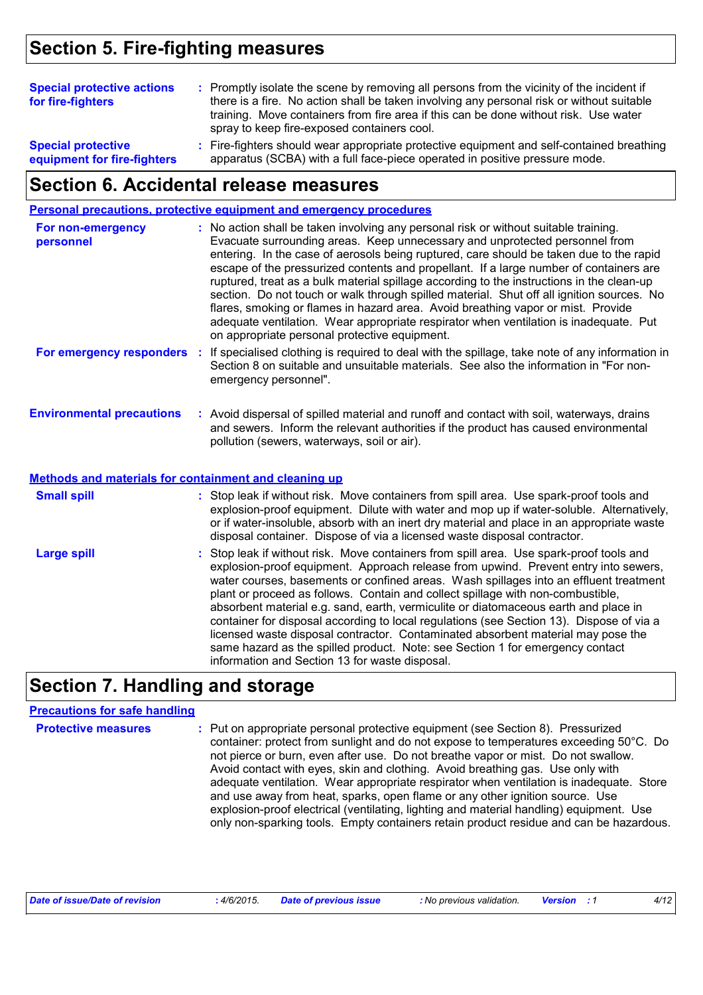## **Section 5. Fire-fighting measures**

| <b>Special protective actions</b><br>for fire-fighters   | : Promptly isolate the scene by removing all persons from the vicinity of the incident if<br>there is a fire. No action shall be taken involving any personal risk or without suitable<br>training. Move containers from fire area if this can be done without risk. Use water<br>spray to keep fire-exposed containers cool. |
|----------------------------------------------------------|-------------------------------------------------------------------------------------------------------------------------------------------------------------------------------------------------------------------------------------------------------------------------------------------------------------------------------|
| <b>Special protective</b><br>equipment for fire-fighters | : Fire-fighters should wear appropriate protective equipment and self-contained breathing<br>apparatus (SCBA) with a full face-piece operated in positive pressure mode.                                                                                                                                                      |

## **Section 6. Accidental release measures**

|                                                              |    | Personal precautions, protective equipment and emergency procedures                                                                                                                                                                                                                                                                                                                                                                                                                                                                                                                                                                                                                                                                                                              |
|--------------------------------------------------------------|----|----------------------------------------------------------------------------------------------------------------------------------------------------------------------------------------------------------------------------------------------------------------------------------------------------------------------------------------------------------------------------------------------------------------------------------------------------------------------------------------------------------------------------------------------------------------------------------------------------------------------------------------------------------------------------------------------------------------------------------------------------------------------------------|
| For non-emergency<br>personnel                               |    | : No action shall be taken involving any personal risk or without suitable training.<br>Evacuate surrounding areas. Keep unnecessary and unprotected personnel from<br>entering. In the case of aerosols being ruptured, care should be taken due to the rapid<br>escape of the pressurized contents and propellant. If a large number of containers are<br>ruptured, treat as a bulk material spillage according to the instructions in the clean-up<br>section. Do not touch or walk through spilled material. Shut off all ignition sources. No<br>flares, smoking or flames in hazard area. Avoid breathing vapor or mist. Provide<br>adequate ventilation. Wear appropriate respirator when ventilation is inadequate. Put<br>on appropriate personal protective equipment. |
| For emergency responders                                     | ÷. | If specialised clothing is required to deal with the spillage, take note of any information in<br>Section 8 on suitable and unsuitable materials. See also the information in "For non-<br>emergency personnel".                                                                                                                                                                                                                                                                                                                                                                                                                                                                                                                                                                 |
| <b>Environmental precautions</b>                             |    | : Avoid dispersal of spilled material and runoff and contact with soil, waterways, drains<br>and sewers. Inform the relevant authorities if the product has caused environmental<br>pollution (sewers, waterways, soil or air).                                                                                                                                                                                                                                                                                                                                                                                                                                                                                                                                                  |
| <b>Methods and materials for containment and cleaning up</b> |    |                                                                                                                                                                                                                                                                                                                                                                                                                                                                                                                                                                                                                                                                                                                                                                                  |
| <b>Small spill</b>                                           |    | : Stop leak if without risk. Move containers from spill area. Use spark-proof tools and<br>explosion-proof equipment. Dilute with water and mop up if water-soluble. Alternatively,<br>or if water-insoluble, absorb with an inert dry material and place in an appropriate waste<br>disposal container. Dispose of via a licensed waste disposal contractor.                                                                                                                                                                                                                                                                                                                                                                                                                    |

| <b>Large spill</b> | : Stop leak if without risk. Move containers from spill area. Use spark-proof tools and<br>explosion-proof equipment. Approach release from upwind. Prevent entry into sewers,<br>water courses, basements or confined areas. Wash spillages into an effluent treatment<br>plant or proceed as follows. Contain and collect spillage with non-combustible,<br>absorbent material e.g. sand, earth, vermiculite or diatomaceous earth and place in<br>container for disposal according to local regulations (see Section 13). Dispose of via a<br>licensed waste disposal contractor. Contaminated absorbent material may pose the<br>same hazard as the spilled product. Note: see Section 1 for emergency contact<br>information and Section 13 for waste disposal. |
|--------------------|----------------------------------------------------------------------------------------------------------------------------------------------------------------------------------------------------------------------------------------------------------------------------------------------------------------------------------------------------------------------------------------------------------------------------------------------------------------------------------------------------------------------------------------------------------------------------------------------------------------------------------------------------------------------------------------------------------------------------------------------------------------------|
|                    |                                                                                                                                                                                                                                                                                                                                                                                                                                                                                                                                                                                                                                                                                                                                                                      |

### **Section 7. Handling and storage**

#### **Precautions for safe handling**

| <b>Protective measures</b> | : Put on appropriate personal protective equipment (see Section 8). Pressurized<br>container: protect from sunlight and do not expose to temperatures exceeding 50°C. Do<br>not pierce or burn, even after use. Do not breathe vapor or mist. Do not swallow.<br>Avoid contact with eyes, skin and clothing. Avoid breathing gas. Use only with<br>adequate ventilation. Wear appropriate respirator when ventilation is inadequate. Store<br>and use away from heat, sparks, open flame or any other ignition source. Use<br>explosion-proof electrical (ventilating, lighting and material handling) equipment. Use<br>only non-sparking tools. Empty containers retain product residue and can be hazardous. |
|----------------------------|-----------------------------------------------------------------------------------------------------------------------------------------------------------------------------------------------------------------------------------------------------------------------------------------------------------------------------------------------------------------------------------------------------------------------------------------------------------------------------------------------------------------------------------------------------------------------------------------------------------------------------------------------------------------------------------------------------------------|
|                            |                                                                                                                                                                                                                                                                                                                                                                                                                                                                                                                                                                                                                                                                                                                 |

|  | <b>Date of issue/Date of revision</b> | 4/6/2015 | Date of previous issue | : No previous validation. | <b>Version</b> : 1 | 4/12 |
|--|---------------------------------------|----------|------------------------|---------------------------|--------------------|------|
|--|---------------------------------------|----------|------------------------|---------------------------|--------------------|------|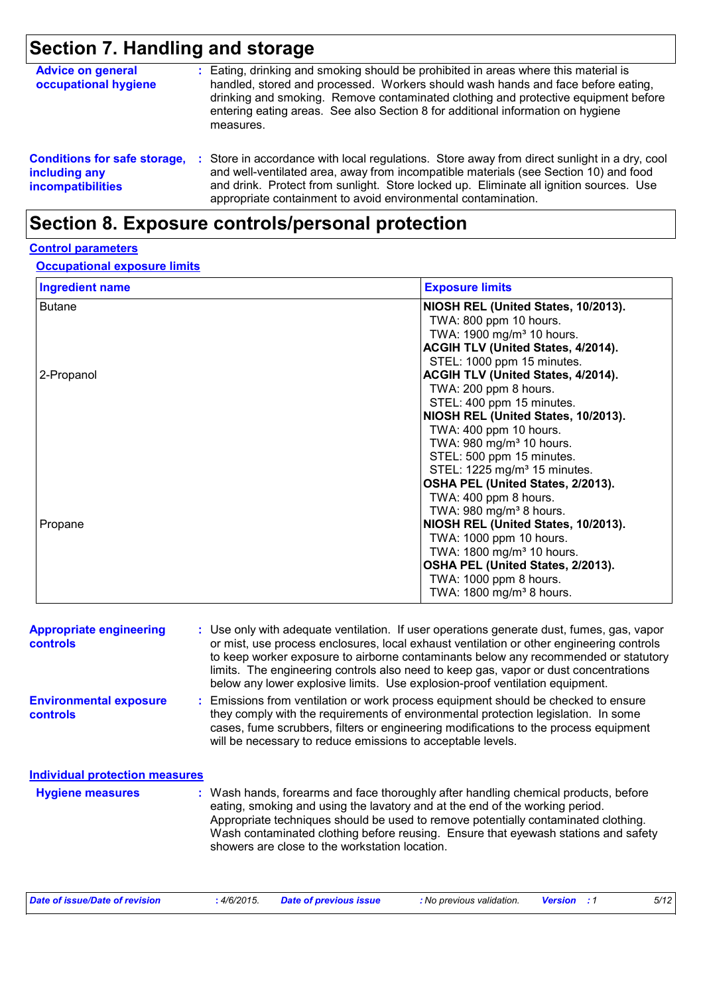# **Section 7. Handling and storage**

| <b>Advice on general</b><br>occupational hygiene                                 |    | : Eating, drinking and smoking should be prohibited in areas where this material is<br>handled, stored and processed. Workers should wash hands and face before eating,<br>drinking and smoking. Remove contaminated clothing and protective equipment before<br>entering eating areas. See also Section 8 for additional information on hygiene<br>measures. |
|----------------------------------------------------------------------------------|----|---------------------------------------------------------------------------------------------------------------------------------------------------------------------------------------------------------------------------------------------------------------------------------------------------------------------------------------------------------------|
| <b>Conditions for safe storage,</b><br>including any<br><b>incompatibilities</b> | ÷. | Store in accordance with local regulations. Store away from direct sunlight in a dry, cool<br>and well-ventilated area, away from incompatible materials (see Section 10) and food<br>and drink. Protect from sunlight. Store locked up. Eliminate all ignition sources. Use<br>appropriate containment to avoid environmental contamination.                 |

## **Section 8. Exposure controls/personal protection**

#### **Control parameters**

#### **Occupational exposure limits**

| <b>Ingredient name</b> | <b>Exposure limits</b>                    |
|------------------------|-------------------------------------------|
| <b>Butane</b>          | NIOSH REL (United States, 10/2013).       |
|                        | TWA: 800 ppm 10 hours.                    |
|                        | TWA: 1900 mg/m <sup>3</sup> 10 hours.     |
|                        | <b>ACGIH TLV (United States, 4/2014).</b> |
|                        | STEL: 1000 ppm 15 minutes.                |
| 2-Propanol             | <b>ACGIH TLV (United States, 4/2014).</b> |
|                        | TWA: 200 ppm 8 hours.                     |
|                        | STEL: 400 ppm 15 minutes.                 |
|                        | NIOSH REL (United States, 10/2013).       |
|                        | TWA: 400 ppm 10 hours.                    |
|                        | TWA: 980 mg/m <sup>3</sup> 10 hours.      |
|                        | STEL: 500 ppm 15 minutes.                 |
|                        | STEL: 1225 mg/m <sup>3</sup> 15 minutes.  |
|                        | OSHA PEL (United States, 2/2013).         |
|                        | TWA: 400 ppm 8 hours.                     |
|                        | TWA: 980 mg/m <sup>3</sup> 8 hours.       |
| Propane                | NIOSH REL (United States, 10/2013).       |
|                        | TWA: 1000 ppm 10 hours.                   |
|                        | TWA: 1800 mg/m <sup>3</sup> 10 hours.     |
|                        | OSHA PEL (United States, 2/2013).         |
|                        | TWA: 1000 ppm 8 hours.                    |
|                        | TWA: 1800 mg/m <sup>3</sup> 8 hours.      |

| <b>Appropriate engineering</b><br><b>controls</b> | : Use only with adequate ventilation. If user operations generate dust, fumes, gas, vapor<br>or mist, use process enclosures, local exhaust ventilation or other engineering controls<br>to keep worker exposure to airborne contaminants below any recommended or statutory<br>limits. The engineering controls also need to keep gas, vapor or dust concentrations<br>below any lower explosive limits. Use explosion-proof ventilation equipment. |
|---------------------------------------------------|------------------------------------------------------------------------------------------------------------------------------------------------------------------------------------------------------------------------------------------------------------------------------------------------------------------------------------------------------------------------------------------------------------------------------------------------------|
| <b>Environmental exposure</b><br><b>controls</b>  | : Emissions from ventilation or work process equipment should be checked to ensure<br>they comply with the requirements of environmental protection legislation. In some<br>cases, fume scrubbers, filters or engineering modifications to the process equipment<br>will be necessary to reduce emissions to acceptable levels.                                                                                                                      |
| <b>Individual protection measures</b>             |                                                                                                                                                                                                                                                                                                                                                                                                                                                      |
| <b>Hygiene measures</b>                           | : Wash hands, forearms and face thoroughly after handling chemical products, before<br>eating, smoking and using the lavatory and at the end of the working period.<br>Appropriate techniques should be used to remove potentially contaminated clothing.<br>Wash contaminated clothing before reusing. Ensure that eyewash stations and safety<br>showers are close to the workstation location.                                                    |

| Date of issue/Date of revision<br>4/6/2015. | <b>Date of previous issue</b> | : No previous validation. | <b>Version</b> : 1 | 5/12 |
|---------------------------------------------|-------------------------------|---------------------------|--------------------|------|
|---------------------------------------------|-------------------------------|---------------------------|--------------------|------|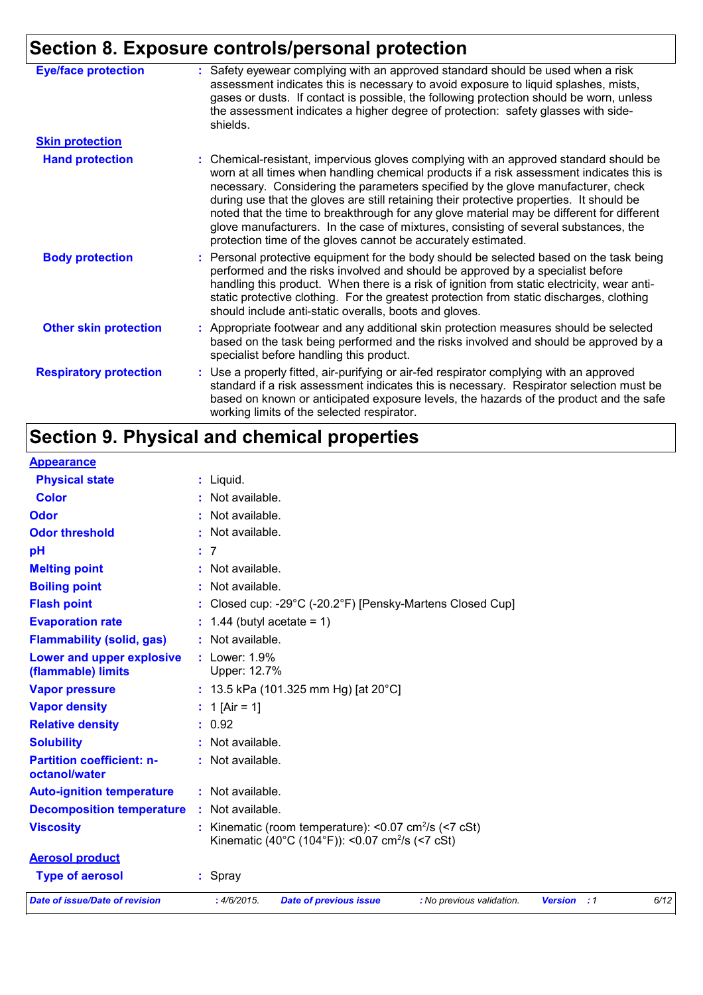# **Section 8. Exposure controls/personal protection**

| <b>Eye/face protection</b>    | : Safety eyewear complying with an approved standard should be used when a risk<br>assessment indicates this is necessary to avoid exposure to liquid splashes, mists,<br>gases or dusts. If contact is possible, the following protection should be worn, unless<br>the assessment indicates a higher degree of protection: safety glasses with side-<br>shields.                                                                                                                                                                                                                                                     |
|-------------------------------|------------------------------------------------------------------------------------------------------------------------------------------------------------------------------------------------------------------------------------------------------------------------------------------------------------------------------------------------------------------------------------------------------------------------------------------------------------------------------------------------------------------------------------------------------------------------------------------------------------------------|
| <b>Skin protection</b>        |                                                                                                                                                                                                                                                                                                                                                                                                                                                                                                                                                                                                                        |
| <b>Hand protection</b>        | : Chemical-resistant, impervious gloves complying with an approved standard should be<br>worn at all times when handling chemical products if a risk assessment indicates this is<br>necessary. Considering the parameters specified by the glove manufacturer, check<br>during use that the gloves are still retaining their protective properties. It should be<br>noted that the time to breakthrough for any glove material may be different for different<br>glove manufacturers. In the case of mixtures, consisting of several substances, the<br>protection time of the gloves cannot be accurately estimated. |
| <b>Body protection</b>        | : Personal protective equipment for the body should be selected based on the task being<br>performed and the risks involved and should be approved by a specialist before<br>handling this product. When there is a risk of ignition from static electricity, wear anti-<br>static protective clothing. For the greatest protection from static discharges, clothing<br>should include anti-static overalls, boots and gloves.                                                                                                                                                                                         |
| <b>Other skin protection</b>  | : Appropriate footwear and any additional skin protection measures should be selected<br>based on the task being performed and the risks involved and should be approved by a<br>specialist before handling this product.                                                                                                                                                                                                                                                                                                                                                                                              |
| <b>Respiratory protection</b> | : Use a properly fitted, air-purifying or air-fed respirator complying with an approved<br>standard if a risk assessment indicates this is necessary. Respirator selection must be<br>based on known or anticipated exposure levels, the hazards of the product and the safe<br>working limits of the selected respirator.                                                                                                                                                                                                                                                                                             |

# **Section 9. Physical and chemical properties**

| <b>Appearance</b> |
|-------------------|
|-------------------|

| <b>Date of issue/Date of revision</b>           |             | : 4/6/2015.                   | <b>Date of previous issue</b>                                                                                                           | : No previous validation.                                 | <b>Version</b> | $\cdot$ :1 | 6/12 |
|-------------------------------------------------|-------------|-------------------------------|-----------------------------------------------------------------------------------------------------------------------------------------|-----------------------------------------------------------|----------------|------------|------|
| <b>Type of aerosol</b>                          | : Spray     |                               |                                                                                                                                         |                                                           |                |            |      |
| <b>Aerosol product</b>                          |             |                               |                                                                                                                                         |                                                           |                |            |      |
| <b>Viscosity</b>                                |             |                               | : Kinematic (room temperature): $< 0.07$ cm <sup>2</sup> /s ( $< 7$ cSt)<br>Kinematic (40°C (104°F)): <0.07 cm <sup>2</sup> /s (<7 cSt) |                                                           |                |            |      |
| <b>Decomposition temperature</b>                |             | : Not available.              |                                                                                                                                         |                                                           |                |            |      |
| <b>Auto-ignition temperature</b>                |             | : Not available.              |                                                                                                                                         |                                                           |                |            |      |
| octanol/water                                   |             |                               |                                                                                                                                         |                                                           |                |            |      |
| <b>Partition coefficient: n-</b>                |             | : Not available.              |                                                                                                                                         |                                                           |                |            |      |
| <b>Solubility</b>                               |             | : Not available.              |                                                                                                                                         |                                                           |                |            |      |
| <b>Relative density</b>                         | : 0.92      |                               |                                                                                                                                         |                                                           |                |            |      |
| <b>Vapor density</b>                            |             | : 1 [Air = 1]                 |                                                                                                                                         |                                                           |                |            |      |
| <b>Vapor pressure</b>                           |             |                               | : 13.5 kPa (101.325 mm Hg) [at 20°C]                                                                                                    |                                                           |                |            |      |
| Lower and upper explosive<br>(flammable) limits |             | : Lower: 1.9%<br>Upper: 12.7% |                                                                                                                                         |                                                           |                |            |      |
| <b>Flammability (solid, gas)</b>                |             | : Not available.              |                                                                                                                                         |                                                           |                |            |      |
| <b>Evaporation rate</b>                         |             | $: 1.44$ (butyl acetate = 1)  |                                                                                                                                         |                                                           |                |            |      |
| <b>Flash point</b>                              |             |                               |                                                                                                                                         | : Closed cup: -29°C (-20.2°F) [Pensky-Martens Closed Cup] |                |            |      |
| <b>Boiling point</b>                            |             | : Not available.              |                                                                                                                                         |                                                           |                |            |      |
| <b>Melting point</b>                            |             | : Not available.              |                                                                                                                                         |                                                           |                |            |      |
| pH                                              | : 7         |                               |                                                                                                                                         |                                                           |                |            |      |
| <b>Odor threshold</b>                           |             | : Not available.              |                                                                                                                                         |                                                           |                |            |      |
| <b>Odor</b>                                     |             | : Not available.              |                                                                                                                                         |                                                           |                |            |      |
| <b>Color</b>                                    |             | : Not available.              |                                                                                                                                         |                                                           |                |            |      |
| <b>Physical state</b>                           | $:$ Liquid. |                               |                                                                                                                                         |                                                           |                |            |      |
|                                                 |             |                               |                                                                                                                                         |                                                           |                |            |      |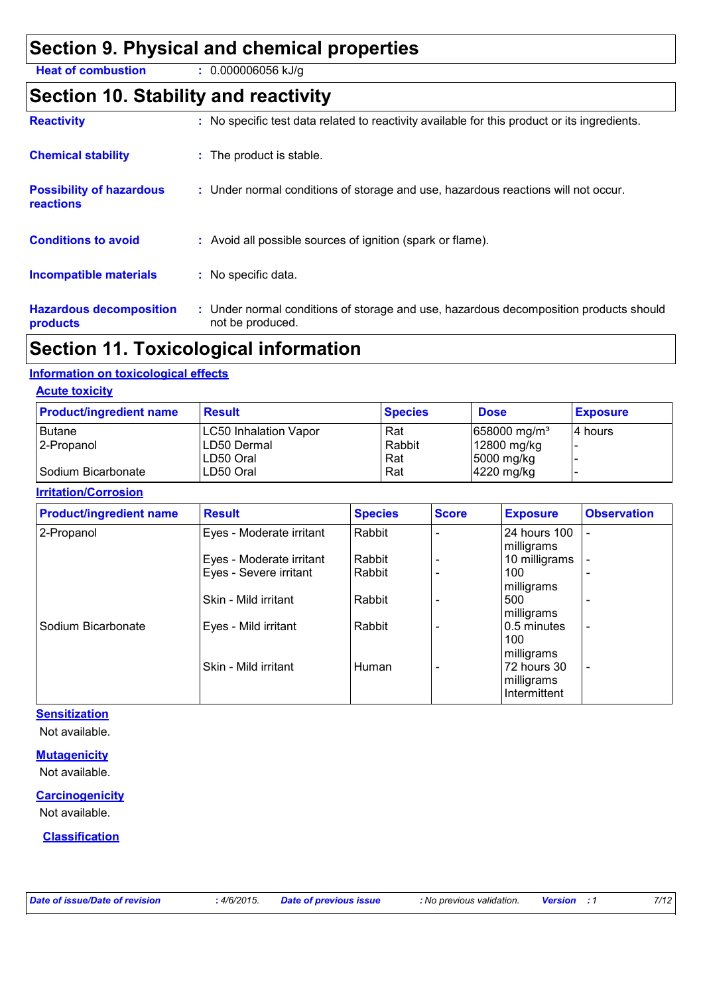### **Section 9. Physical and chemical properties**

**Heat of combustion :** 0.000006056 kJ/g

### **Section 10. Stability and reactivity**

| <b>Reactivity</b>                                   | : No specific test data related to reactivity available for this product or its ingredients.              |
|-----------------------------------------------------|-----------------------------------------------------------------------------------------------------------|
| <b>Chemical stability</b>                           | : The product is stable.                                                                                  |
| <b>Possibility of hazardous</b><br><b>reactions</b> | : Under normal conditions of storage and use, hazardous reactions will not occur.                         |
| <b>Conditions to avoid</b>                          | : Avoid all possible sources of ignition (spark or flame).                                                |
| <b>Incompatible materials</b>                       | : No specific data.                                                                                       |
| <b>Hazardous decomposition</b><br>products          | : Under normal conditions of storage and use, hazardous decomposition products should<br>not be produced. |
|                                                     |                                                                                                           |

## **Section 11. Toxicological information**

#### **Information on toxicological effects**

#### **Acute toxicity**

| <b>Product/ingredient name</b> | <b>Result</b>         | <b>Species</b> | <b>Dose</b>                | <b>Exposure</b> |
|--------------------------------|-----------------------|----------------|----------------------------|-----------------|
| <b>Butane</b>                  | LC50 Inhalation Vapor | Rat            | $658000$ mg/m <sup>3</sup> | 14 hours        |
| 2-Propanol                     | ILD50 Dermal          | Rabbit         | 12800 mg/kg                |                 |
|                                | ILD50 Oral            | Rat            | 5000 mg/kg                 |                 |
| I Sodium Bicarbonate           | LD50 Oral             | Rat            | $ 4220 \text{ mg/kg} $     |                 |

#### **Irritation/Corrosion**

| <b>Product/ingredient name</b> | <b>Result</b>            | <b>Species</b> | <b>Score</b> | <b>Exposure</b> | <b>Observation</b>       |
|--------------------------------|--------------------------|----------------|--------------|-----------------|--------------------------|
| 2-Propanol                     | Eyes - Moderate irritant | Rabbit         |              | 24 hours 100    |                          |
|                                |                          | Rabbit         |              | milligrams      |                          |
|                                | Eyes - Moderate irritant |                |              | 10 milligrams   |                          |
|                                | Eyes - Severe irritant   | Rabbit         |              | 100             | $\overline{\phantom{0}}$ |
|                                |                          |                |              | milligrams      |                          |
|                                | Skin - Mild irritant     | Rabbit         |              | 500             |                          |
|                                |                          |                |              | milligrams      |                          |
| Sodium Bicarbonate             | Eyes - Mild irritant     | l Rabbit       |              | 0.5 minutes     | $\overline{\phantom{a}}$ |
|                                |                          |                |              | 100             |                          |
|                                |                          |                |              | milligrams      |                          |
|                                | Skin - Mild irritant     | <b>Human</b>   |              | 72 hours 30     | $\overline{\phantom{a}}$ |
|                                |                          |                |              | milligrams      |                          |
|                                |                          |                |              | Intermittent    |                          |

#### **Sensitization**

Not available.

#### **Mutagenicity**

Not available.

#### **Carcinogenicity**

Not available.

#### **Classification**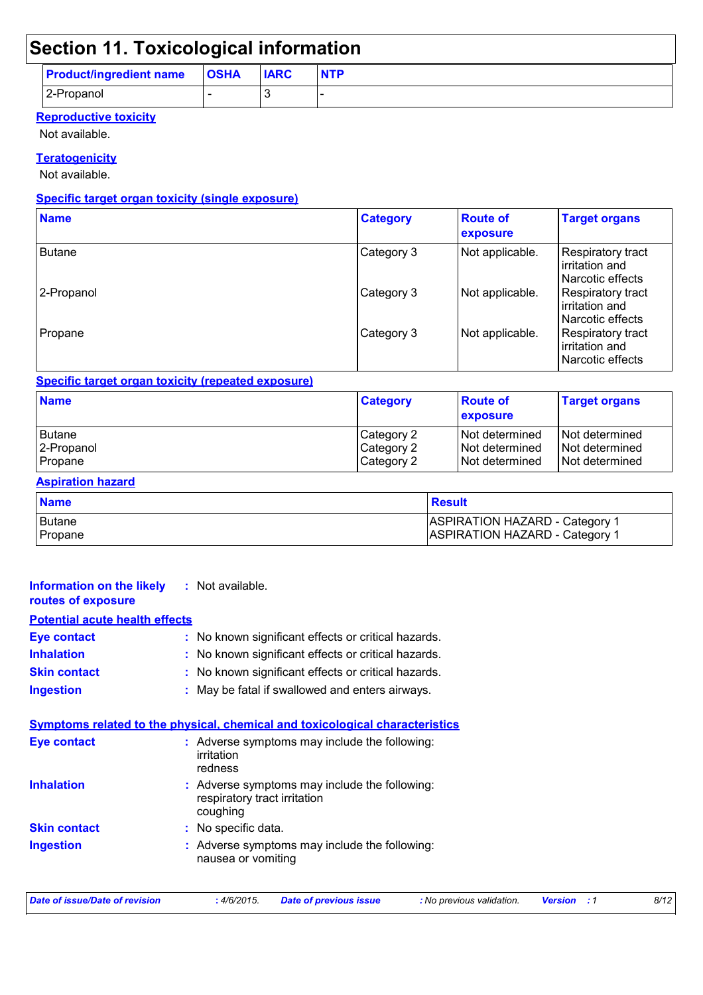## **Section 11. Toxicological information**

|                                     | . . |             |            |
|-------------------------------------|-----|-------------|------------|
| <b>Product/ingredient name OSHA</b> |     | <b>IARC</b> | <b>NTP</b> |
| 2-Propanol                          |     |             |            |

#### **Reproductive toxicity**

Not available.

#### **Teratogenicity**

Not available.

#### **Specific target organ toxicity (single exposure)**

| <b>Name</b>   | <b>Category</b> | <b>Route of</b><br>exposure | <b>Target organs</b>                                           |
|---------------|-----------------|-----------------------------|----------------------------------------------------------------|
| <b>Butane</b> | Category 3      | Not applicable.             | Respiratory tract<br>irritation and<br>Narcotic effects        |
| 2-Propanol    | Category 3      | Not applicable.             | <b>Respiratory tract</b><br>irritation and<br>Narcotic effects |
| Propane       | Category 3      | Not applicable.             | Respiratory tract<br>irritation and<br>Narcotic effects        |

#### **Specific target organ toxicity (repeated exposure)**

| <b>Name</b> | <b>Category</b> | <b>Route of</b><br><b>exposure</b> | <b>Target organs</b> |
|-------------|-----------------|------------------------------------|----------------------|
| Butane      | Category 2      | <b>Not determined</b>              | l Not determined     |
| 2-Propanol  | Category 2      | INot determined                    | I Not determined     |
| Propane     | Category 2      | INot determined                    | Not determined       |

#### **Aspiration hazard**

| <b>Name</b> | <b>Result</b>                         |
|-------------|---------------------------------------|
| l Butane    | <b>ASPIRATION HAZARD - Category 1</b> |
| Propane     | <b>ASPIRATION HAZARD - Category 1</b> |

| <b>Date of issue/Date of revision</b>                                               | : 4/6/2015.                              | <b>Date of previous issue</b>                       | : No previous validation. | <b>Version</b><br>$\cdot$ :1 | 8/12 |
|-------------------------------------------------------------------------------------|------------------------------------------|-----------------------------------------------------|---------------------------|------------------------------|------|
| <b>Ingestion</b>                                                                    | nausea or vomiting                       | : Adverse symptoms may include the following:       |                           |                              |      |
|                                                                                     |                                          |                                                     |                           |                              |      |
| <b>Skin contact</b>                                                                 | : No specific data.                      |                                                     |                           |                              |      |
|                                                                                     | respiratory tract irritation<br>coughing |                                                     |                           |                              |      |
| <b>Inhalation</b>                                                                   |                                          | : Adverse symptoms may include the following:       |                           |                              |      |
|                                                                                     | irritation<br>redness                    |                                                     |                           |                              |      |
| Eye contact                                                                         |                                          | : Adverse symptoms may include the following:       |                           |                              |      |
| <u>Symptoms related to the physical, chemical and toxicological characteristics</u> |                                          |                                                     |                           |                              |      |
|                                                                                     |                                          |                                                     |                           |                              |      |
| <b>Ingestion</b>                                                                    |                                          | : May be fatal if swallowed and enters airways.     |                           |                              |      |
| <b>Skin contact</b>                                                                 |                                          | : No known significant effects or critical hazards. |                           |                              |      |
| <b>Inhalation</b>                                                                   |                                          | : No known significant effects or critical hazards. |                           |                              |      |
| <b>Eye contact</b>                                                                  |                                          | : No known significant effects or critical hazards. |                           |                              |      |
| <b>Potential acute health effects</b>                                               |                                          |                                                     |                           |                              |      |
| <b>Information on the likely</b><br>routes of exposure                              | : Not available.                         |                                                     |                           |                              |      |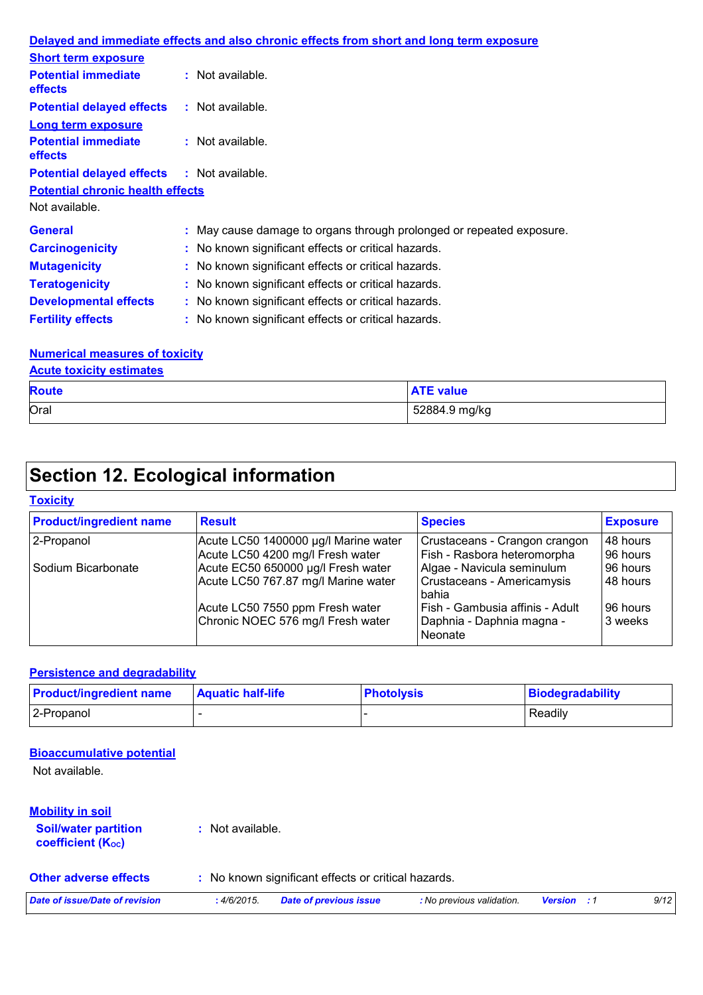|                                                   | Delayed and immediate effects and also chronic effects from short and long term exposure |
|---------------------------------------------------|------------------------------------------------------------------------------------------|
| <b>Short term exposure</b>                        |                                                                                          |
| <b>Potential immediate</b><br><b>effects</b>      | : Not available.                                                                         |
| <b>Potential delayed effects</b>                  | : Not available.                                                                         |
| <b>Long term exposure</b>                         |                                                                                          |
| <b>Potential immediate</b><br><b>effects</b>      | $:$ Not available.                                                                       |
| <b>Potential delayed effects : Not available.</b> |                                                                                          |
| <b>Potential chronic health effects</b>           |                                                                                          |
| Not available.                                    |                                                                                          |
| <b>General</b>                                    | : May cause damage to organs through prolonged or repeated exposure.                     |
| <b>Carcinogenicity</b>                            | : No known significant effects or critical hazards.                                      |
| <b>Mutagenicity</b>                               | : No known significant effects or critical hazards.                                      |
| <b>Teratogenicity</b>                             | : No known significant effects or critical hazards.                                      |
| <b>Developmental effects</b>                      | : No known significant effects or critical hazards.                                      |
| <b>Fertility effects</b>                          | : No known significant effects or critical hazards.                                      |

#### **Numerical measures of toxicity**

**Acute toxicity estimates**

| <b>Route</b> | <b>ATE value</b> |
|--------------|------------------|
| Oral         | 52884.9 mg/kg    |

## **Section 12. Ecological information**

#### **Toxicity**

| <b>Product/ingredient name</b> | <b>Result</b>                        | <b>Species</b>                         | <b>Exposure</b> |
|--------------------------------|--------------------------------------|----------------------------------------|-----------------|
| 2-Propanol                     | Acute LC50 1400000 µg/l Marine water | Crustaceans - Crangon crangon          | 48 hours        |
|                                | Acute LC50 4200 mg/l Fresh water     | Fish - Rasbora heteromorpha            | 96 hours        |
| Sodium Bicarbonate             | Acute EC50 650000 µg/l Fresh water   | Algae - Navicula seminulum             | 96 hours        |
|                                | Acute LC50 767.87 mg/l Marine water  | Crustaceans - Americamysis<br>bahia    | 48 hours        |
|                                | Acute LC50 7550 ppm Fresh water      | Fish - Gambusia affinis - Adult        | 196 hours       |
|                                | Chronic NOEC 576 mg/l Fresh water    | Daphnia - Daphnia magna -<br>l Neonate | 3 weeks         |

#### **Persistence and degradability**

| <b>Product/ingredient name</b> | <b>Aquatic half-life</b> | <b>Photolysis</b> | Biodegradability |
|--------------------------------|--------------------------|-------------------|------------------|
| 2-Propanol                     |                          |                   | Readily          |

#### **Bioaccumulative potential**

Not available.

| <b>Mobility in soil</b><br><b>Soil/water partition</b><br><b>coefficient (Koc)</b> | : Not available. |                                                     |                           |                    |      |
|------------------------------------------------------------------------------------|------------------|-----------------------------------------------------|---------------------------|--------------------|------|
| <b>Other adverse effects</b>                                                       |                  | : No known significant effects or critical hazards. |                           |                    |      |
| Date of issue/Date of revision                                                     | :4/6/2015.       | <b>Date of previous issue</b>                       | : No previous validation. | <b>Version</b> : 1 | 9/12 |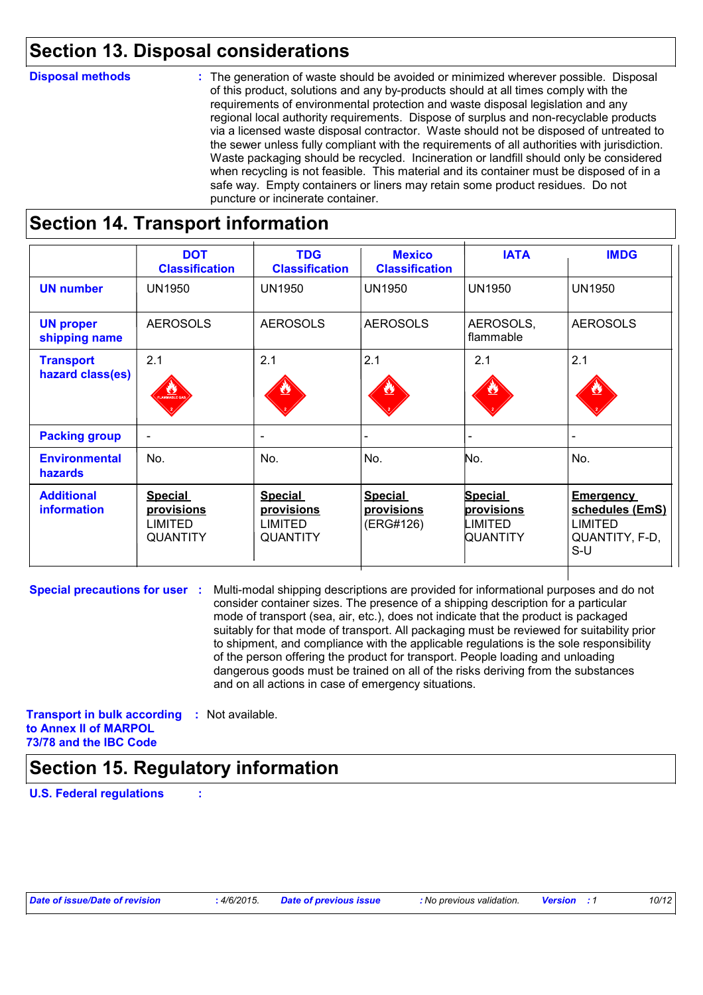### **Section 13. Disposal considerations**

#### **Disposal methods :**

The generation of waste should be avoided or minimized wherever possible. Disposal of this product, solutions and any by-products should at all times comply with the requirements of environmental protection and waste disposal legislation and any regional local authority requirements. Dispose of surplus and non-recyclable products via a licensed waste disposal contractor. Waste should not be disposed of untreated to the sewer unless fully compliant with the requirements of all authorities with jurisdiction. Waste packaging should be recycled. Incineration or landfill should only be considered when recycling is not feasible. This material and its container must be disposed of in a safe way. Empty containers or liners may retain some product residues. Do not puncture or incinerate container.

### **Section 14. Transport information**

|                                         | <b>DOT</b><br><b>Classification</b>                               | <b>TDG</b><br><b>Classification</b>                                      | <b>Mexico</b><br><b>Classification</b>    | <b>IATA</b>                                                       | <b>IMDG</b>                                                                      |
|-----------------------------------------|-------------------------------------------------------------------|--------------------------------------------------------------------------|-------------------------------------------|-------------------------------------------------------------------|----------------------------------------------------------------------------------|
| <b>UN number</b>                        | <b>UN1950</b>                                                     | <b>UN1950</b>                                                            | <b>UN1950</b>                             | <b>UN1950</b>                                                     | <b>UN1950</b>                                                                    |
| <b>UN proper</b><br>shipping name       | <b>AEROSOLS</b>                                                   | <b>AEROSOLS</b>                                                          | <b>AEROSOLS</b>                           | AEROSOLS,<br>flammable                                            | <b>AEROSOLS</b>                                                                  |
| <b>Transport</b><br>hazard class(es)    | 2.1<br>AMMABLE GA                                                 | 2.1<br><u>ئىللا</u>                                                      | 2.1                                       | 2.1                                                               | 2.1                                                                              |
| <b>Packing group</b>                    | $\overline{\phantom{a}}$                                          | $\overline{\phantom{a}}$                                                 |                                           |                                                                   |                                                                                  |
| <b>Environmental</b><br><b>hazards</b>  | No.                                                               | No.                                                                      | No.                                       | No.                                                               | No.                                                                              |
| <b>Additional</b><br><b>information</b> | <b>Special</b><br>provisions<br><b>LIMITED</b><br><b>QUANTITY</b> | <b>Special</b><br><u>provisions</u><br><b>LIMITED</b><br><b>QUANTITY</b> | <b>Special</b><br>provisions<br>(ERG#126) | <b>Special</b><br><u>provisions</u><br>LIMITED<br><b>QUANTITY</b> | <b>Emergency</b><br>schedules (EmS)<br><b>LIMITED</b><br>QUANTITY, F-D,<br>$S-U$ |

**Special precautions for user :** Multi-modal shipping descriptions are provided for informational purposes and do not consider container sizes. The presence of a shipping description for a particular mode of transport (sea, air, etc.), does not indicate that the product is packaged suitably for that mode of transport. All packaging must be reviewed for suitability prior to shipment, and compliance with the applicable regulations is the sole responsibility of the person offering the product for transport. People loading and unloading dangerous goods must be trained on all of the risks deriving from the substances and on all actions in case of emergency situations.

**Transport in bulk according :** Not available. **to Annex II of MARPOL 73/78 and the IBC Code**

## **Section 15. Regulatory information**

**U.S. Federal regulations :**

| Date of issue/Date of revision |  |  |
|--------------------------------|--|--|
|--------------------------------|--|--|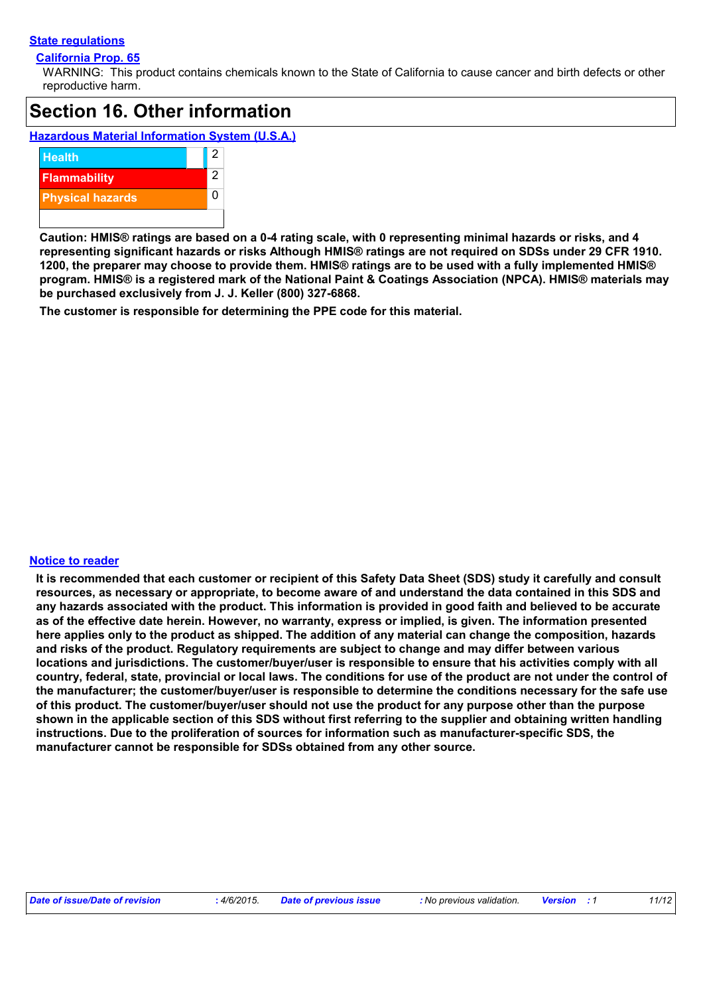#### **State regulations**

#### **California Prop. 65**

WARNING: This product contains chemicals known to the State of California to cause cancer and birth defects or other reproductive harm.

### **Section 16. Other information**

**Hazardous Material Information System (U.S.A.)**



**Caution: HMIS® ratings are based on a 0-4 rating scale, with 0 representing minimal hazards or risks, and 4 representing significant hazards or risks Although HMIS® ratings are not required on SDSs under 29 CFR 1910. 1200, the preparer may choose to provide them. HMIS® ratings are to be used with a fully implemented HMIS® program. HMIS® is a registered mark of the National Paint & Coatings Association (NPCA). HMIS® materials may be purchased exclusively from J. J. Keller (800) 327-6868.**

**The customer is responsible for determining the PPE code for this material.**

#### **Notice to reader**

**It is recommended that each customer or recipient of this Safety Data Sheet (SDS) study it carefully and consult resources, as necessary or appropriate, to become aware of and understand the data contained in this SDS and any hazards associated with the product. This information is provided in good faith and believed to be accurate as of the effective date herein. However, no warranty, express or implied, is given. The information presented here applies only to the product as shipped. The addition of any material can change the composition, hazards and risks of the product. Regulatory requirements are subject to change and may differ between various locations and jurisdictions. The customer/buyer/user is responsible to ensure that his activities comply with all country, federal, state, provincial or local laws. The conditions for use of the product are not under the control of the manufacturer; the customer/buyer/user is responsible to determine the conditions necessary for the safe use of this product. The customer/buyer/user should not use the product for any purpose other than the purpose shown in the applicable section of this SDS without first referring to the supplier and obtaining written handling instructions. Due to the proliferation of sources for information such as manufacturer-specific SDS, the manufacturer cannot be responsible for SDSs obtained from any other source.**